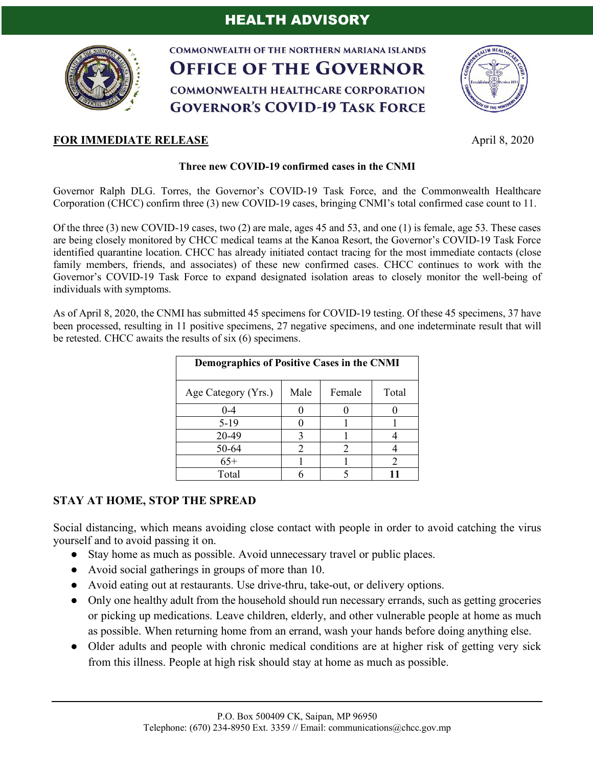

**COMMONWEALTH OF THE NORTHERN MARIANA ISLANDS OFFICE OF THE GOVERNOR COMMONWEALTH HEALTHCARE CORPORATION GOVERNOR'S COVID-19 TASK FORCE** 



## **FOR IMMEDIATE RELEASE** April 8, 2020

## **Three new COVID-19 confirmed cases in the CNMI**

Governor Ralph DLG. Torres, the Governor's COVID-19 Task Force, and the Commonwealth Healthcare Corporation (CHCC) confirm three (3) new COVID-19 cases, bringing CNMI's total confirmed case count to 11.

Of the three (3) new COVID-19 cases, two (2) are male, ages 45 and 53, and one (1) is female, age 53. These cases are being closely monitored by CHCC medical teams at the Kanoa Resort, the Governor's COVID-19 Task Force identified quarantine location. CHCC has already initiated contact tracing for the most immediate contacts (close family members, friends, and associates) of these new confirmed cases. CHCC continues to work with the Governor's COVID-19 Task Force to expand designated isolation areas to closely monitor the well-being of individuals with symptoms.

As of April 8, 2020, the CNMI has submitted 45 specimens for COVID-19 testing. Of these 45 specimens, 37 have been processed, resulting in 11 positive specimens, 27 negative specimens, and one indeterminate result that will be retested. CHCC awaits the results of six (6) specimens.

| <b>Demographics of Positive Cases in the CNMI</b> |      |                             |       |
|---------------------------------------------------|------|-----------------------------|-------|
| Age Category (Yrs.)                               | Male | Female                      | Total |
| $0 - 4$                                           |      |                             |       |
| $5-19$                                            |      |                             |       |
| 20-49                                             |      |                             |       |
| 50-64                                             | 2    | $\mathcal{D}_{\mathcal{A}}$ |       |
| $65+$                                             |      |                             |       |
| Total                                             |      |                             |       |

## **STAY AT HOME, STOP THE SPREAD**

Social distancing, which means avoiding close contact with people in order to avoid catching the virus yourself and to avoid passing it on.

- Stay home as much as possible. Avoid unnecessary travel or public places.
- Avoid social gatherings in groups of more than 10.
- Avoid eating out at restaurants. Use drive-thru, take-out, or delivery options.
- Only one healthy adult from the household should run necessary errands, such as getting groceries or picking up medications. Leave children, elderly, and other vulnerable people at home as much as possible. When returning home from an errand, wash your hands before doing anything else.
- Older adults and people with chronic medical conditions are at higher risk of getting very sick from this illness. People at high risk should stay at home as much as possible.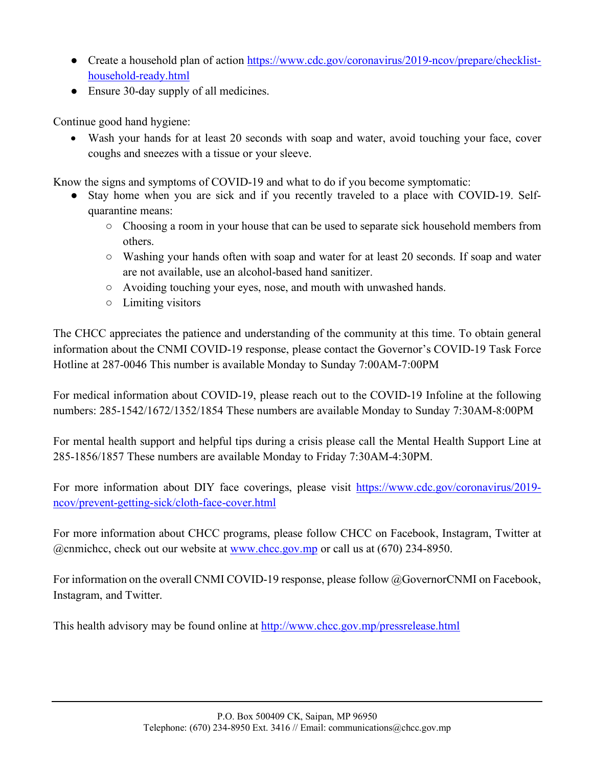- Create a household plan of action https://www.cdc.gov/coronavirus/2019-ncov/prepare/checklisthousehold-ready.html
- Ensure 30-day supply of all medicines.

Continue good hand hygiene:

• Wash your hands for at least 20 seconds with soap and water, avoid touching your face, cover coughs and sneezes with a tissue or your sleeve.

Know the signs and symptoms of COVID-19 and what to do if you become symptomatic:

- Stay home when you are sick and if you recently traveled to a place with COVID-19. Selfquarantine means:
	- Choosing a room in your house that can be used to separate sick household members from others.
	- Washing your hands often with soap and water for at least 20 seconds. If soap and water are not available, use an alcohol-based hand sanitizer.
	- Avoiding touching your eyes, nose, and mouth with unwashed hands.
	- Limiting visitors

The CHCC appreciates the patience and understanding of the community at this time. To obtain general information about the CNMI COVID-19 response, please contact the Governor's COVID-19 Task Force Hotline at 287-0046 This number is available Monday to Sunday 7:00AM-7:00PM

For medical information about COVID-19, please reach out to the COVID-19 Infoline at the following numbers: 285-1542/1672/1352/1854 These numbers are available Monday to Sunday 7:30AM-8:00PM

For mental health support and helpful tips during a crisis please call the Mental Health Support Line at 285-1856/1857 These numbers are available Monday to Friday 7:30AM-4:30PM.

For more information about DIY face coverings, please visit https://www.cdc.gov/coronavirus/2019 ncov/prevent-getting-sick/cloth-face-cover.html

For more information about CHCC programs, please follow CHCC on Facebook, Instagram, Twitter at @cnmichcc, check out our website at www.chcc.gov.mp or call us at (670) 234-8950.

For information on the overall CNMI COVID-19 response, please follow @GovernorCNMI on Facebook, Instagram, and Twitter.

This health advisory may be found online at http://www.chcc.gov.mp/pressrelease.html